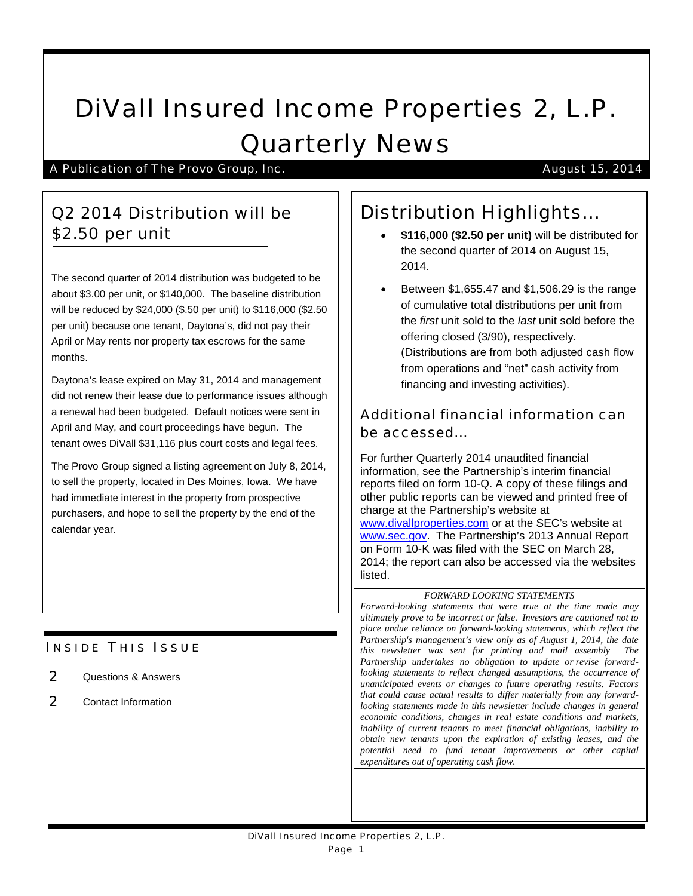# DiVall Insured Income Properties 2, L.P. Quarterly News

A Publication of The Provo Group, Inc. August 15, 2014

# Q2 2014 Distribution will be \$2.50 per unit

The second quarter of 2014 distribution was budgeted to be about \$3.00 per unit, or \$140,000. The baseline distribution will be reduced by \$24,000 (\$.50 per unit) to \$116,000 (\$2.50 per unit) because one tenant, Daytona's, did not pay their April or May rents nor property tax escrows for the same months.

Daytona's lease expired on May 31, 2014 and management did not renew their lease due to performance issues although a renewal had been budgeted. Default notices were sent in April and May, and court proceedings have begun. The tenant owes DiVall \$31,116 plus court costs and legal fees.

The Provo Group signed a listing agreement on July 8, 2014, to sell the property, located in Des Moines, Iowa. We have had immediate interest in the property from prospective purchasers, and hope to sell the property by the end of the calendar year.

# **INSIDE THIS ISSUE**

- 2 Questions & Answers
- 2 Contact Information

# Distribution Highlights…

- **\$116,000 (\$2.50 per unit)** will be distributed for the second quarter of 2014 on August 15, 2014.
- Between \$1,655.47 and \$1,506.29 is the range of cumulative total distributions per unit from the *first* unit sold to the *last* unit sold before the offering closed (3/90), respectively. (Distributions are from both adjusted cash flow from operations and "net" cash activity from financing and investing activities).

## Additional financial information can be accessed…

For further Quarterly 2014 unaudited financial information, see the Partnership's interim financial reports filed on form 10-Q. A copy of these filings and other public reports can be viewed and printed free of charge at the Partnership's website at [www.divallproperties.com](http://www.divallproperties.com/) or at the SEC's website at [www.sec.gov.](http://www.sec.gov/) The Partnership's 2013 Annual Report on Form 10-K was filed with the SEC on March 28, 2014; the report can also be accessed via the websites listed.

#### *FORWARD LOOKING STATEMENTS*

*Forward-looking statements that were true at the time made may ultimately prove to be incorrect or false. Investors are cautioned not to place undue reliance on forward-looking statements, which reflect the Partnership's management's view only as of August 1, 2014, the date this newsletter was sent for printing and mail assembly The Partnership undertakes no obligation to update or revise forwardlooking statements to reflect changed assumptions, the occurrence of unanticipated events or changes to future operating results. Factors that could cause actual results to differ materially from any forwardlooking statements made in this newsletter include changes in general economic conditions, changes in real estate conditions and markets, inability of current tenants to meet financial obligations, inability to obtain new tenants upon the expiration of existing leases, and the potential need to fund tenant improvements or other capital expenditures out of operating cash flow.*